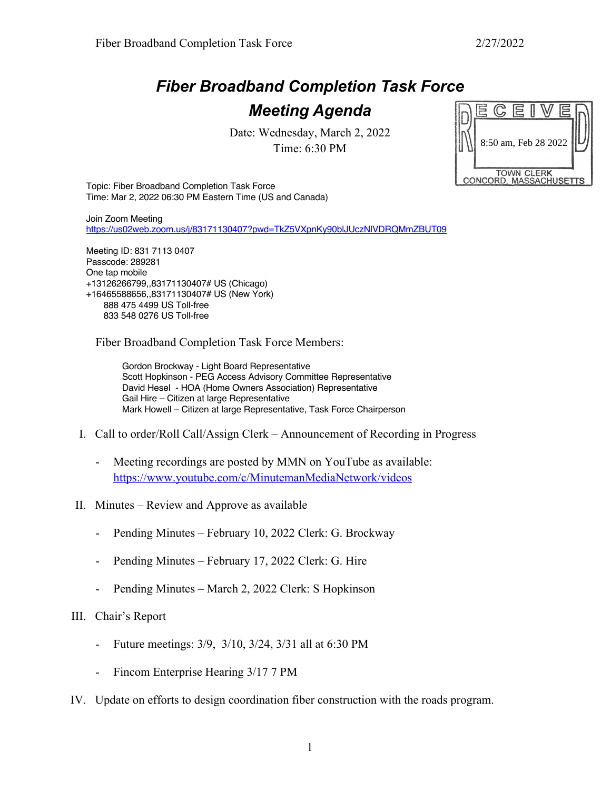## *Fiber Broadband Completion Task Force Meeting Agenda*

Date: Wednesday, March 2, 2022 Time: 6:30 PM



Topic: Fiber Broadband Completion Task Force Time: Mar 2, 2022 06:30 PM Eastern Time (US and Canada)

Join Zoom Meeting https://us02web.zoom.us/j/83171130407?pwd=TkZ5VXpnKy90blJUczNlVDRQMmZBUT09

Meeting ID: 831 7113 0407 Passcode: 289281 One tap mobile +13126266799,,83171130407# US (Chicago) +16465588656,,83171130407# US (New York) 888 475 4499 US Toll-free 833 548 0276 US Toll-free

Fiber Broadband Completion Task Force Members:

Gordon Brockway - Light Board Representative Scott Hopkinson - PEG Access Advisory Committee Representative David Hesel - HOA (Home Owners Association) Representative Gail Hire – Citizen at large Representative Mark Howell – Citizen at large Representative, Task Force Chairperson

- I. Call to order/Roll Call/Assign Clerk Announcement of Recording in Progress
	- Meeting recordings are posted by MMN on YouTube as available: https://www.youtube.com/c/MinutemanMediaNetwork/videos
- II. Minutes Review and Approve as available
	- Pending Minutes February 10, 2022 Clerk: G. Brockway
	- Pending Minutes February 17, 2022 Clerk: G. Hire
	- Pending Minutes March 2, 2022 Clerk: S Hopkinson

## III. Chair's Report

- Future meetings: 3/9, 3/10, 3/24, 3/31 all at 6:30 PM
- Fincom Enterprise Hearing 3/17 7 PM
- IV. Update on efforts to design coordination fiber construction with the roads program.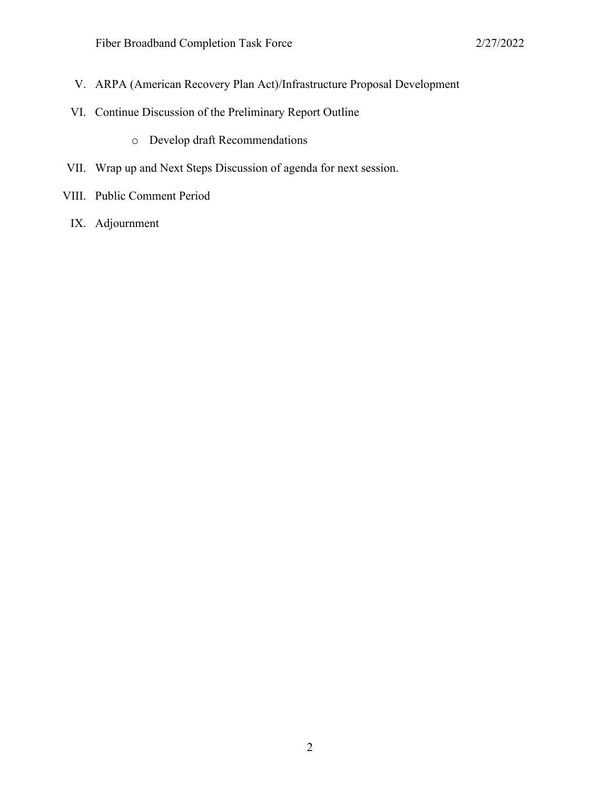- V. ARPA (American Recovery Plan Act)/Infrastructure Proposal Development
- VI. Continue Discussion of the Preliminary Report Outline
	- o Develop draft Recommendations
- VII. Wrap up and Next Steps Discussion of agenda for next session.
- VIII. Public Comment Period
	- IX. Adjournment